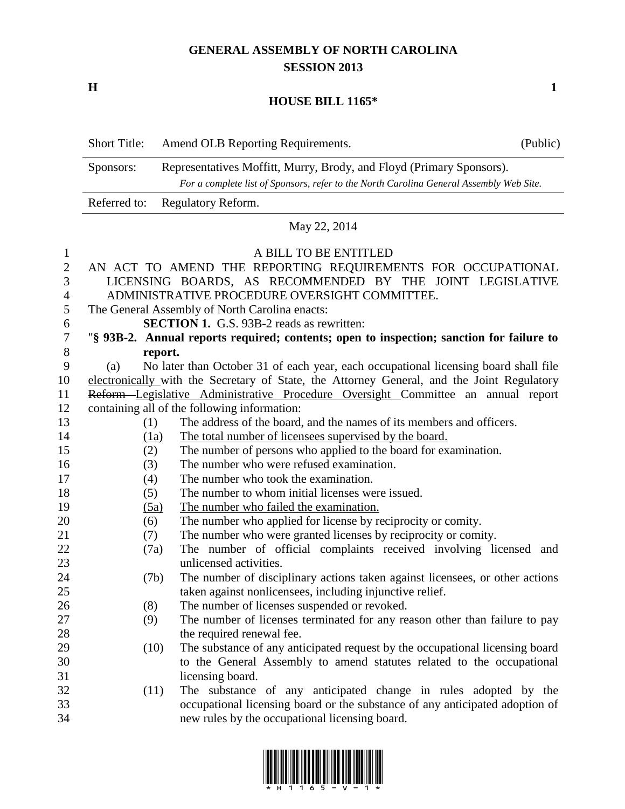## **GENERAL ASSEMBLY OF NORTH CAROLINA SESSION 2013**

**H 1**

## **HOUSE BILL 1165\***

|                  | <b>Short Title:</b> | Amend OLB Reporting Requirements.                                                                                                                               | (Public) |
|------------------|---------------------|-----------------------------------------------------------------------------------------------------------------------------------------------------------------|----------|
|                  | Sponsors:           | Representatives Moffitt, Murry, Brody, and Floyd (Primary Sponsors).<br>For a complete list of Sponsors, refer to the North Carolina General Assembly Web Site. |          |
|                  | Referred to:        | Regulatory Reform.                                                                                                                                              |          |
|                  |                     | May 22, 2014                                                                                                                                                    |          |
| 1                |                     | A BILL TO BE ENTITLED                                                                                                                                           |          |
| $\boldsymbol{2}$ |                     | AN ACT TO AMEND THE REPORTING REQUIREMENTS FOR OCCUPATIONAL                                                                                                     |          |
| 3                |                     | LICENSING BOARDS, AS RECOMMENDED BY THE JOINT LEGISLATIVE                                                                                                       |          |
| 4                |                     | ADMINISTRATIVE PROCEDURE OVERSIGHT COMMITTEE.                                                                                                                   |          |
| 5                |                     | The General Assembly of North Carolina enacts:                                                                                                                  |          |
| 6                |                     | <b>SECTION 1.</b> G.S. 93B-2 reads as rewritten:                                                                                                                |          |
| $\boldsymbol{7}$ |                     | "§ 93B-2. Annual reports required; contents; open to inspection; sanction for failure to                                                                        |          |
| $8\,$            |                     | report.                                                                                                                                                         |          |
| 9                | (a)                 | No later than October 31 of each year, each occupational licensing board shall file                                                                             |          |
| 10               |                     | electronically with the Secretary of State, the Attorney General, and the Joint Regulatory                                                                      |          |
| 11               |                     | Reform-Legislative Administrative Procedure Oversight Committee an annual report                                                                                |          |
| 12               |                     | containing all of the following information:                                                                                                                    |          |
| 13               | (1)                 | The address of the board, and the names of its members and officers.                                                                                            |          |
| 14               | (1a)                | The total number of licensees supervised by the board.                                                                                                          |          |
| 15               | (2)                 | The number of persons who applied to the board for examination.                                                                                                 |          |
| 16               | (3)                 | The number who were refused examination.                                                                                                                        |          |
| 17               | (4)                 | The number who took the examination.                                                                                                                            |          |
| 18               | (5)                 | The number to whom initial licenses were issued.                                                                                                                |          |
| 19               | (5a)                | The number who failed the examination.                                                                                                                          |          |
| 20               | (6)                 | The number who applied for license by reciprocity or comity.                                                                                                    |          |
| 21               | (7)                 | The number who were granted licenses by reciprocity or comity.                                                                                                  |          |
| 22               | (7a)                | The number of official complaints received involving licensed and                                                                                               |          |
| 23               |                     | unlicensed activities.                                                                                                                                          |          |
| 24               | (7b)                | The number of disciplinary actions taken against licensees, or other actions                                                                                    |          |
| 25               |                     | taken against nonlicensees, including injunctive relief.                                                                                                        |          |
| 26               | (8)                 | The number of licenses suspended or revoked.                                                                                                                    |          |
| 27               | (9)                 | The number of licenses terminated for any reason other than failure to pay                                                                                      |          |
| 28               |                     | the required renewal fee.                                                                                                                                       |          |
| 29               | (10)                | The substance of any anticipated request by the occupational licensing board                                                                                    |          |
| 30               |                     | to the General Assembly to amend statutes related to the occupational                                                                                           |          |
| 31               |                     | licensing board.                                                                                                                                                |          |
| 32               | (11)                | The substance of any anticipated change in rules adopted by the                                                                                                 |          |
| 33               |                     | occupational licensing board or the substance of any anticipated adoption of                                                                                    |          |
| 34               |                     | new rules by the occupational licensing board.                                                                                                                  |          |